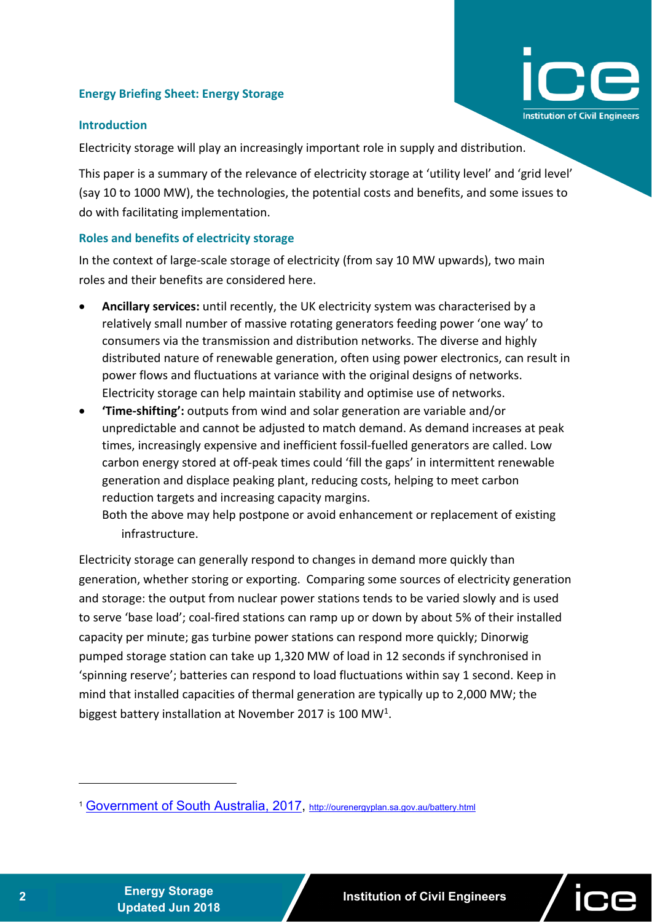# **Energy Briefing Sheet: Energy Storage**

#### **Introduction**

Electricity storage will play an increasingly important role in supply and distribution.

This paper is a summary of the relevance of electricity storage at 'utility level' and 'grid level' (say 10 to 1000 MW), the technologies, the potential costs and benefits, and some issues to do with facilitating implementation.

## **Roles and benefits of electricity storage**

In the context of large‐scale storage of electricity (from say 10 MW upwards), two main roles and their benefits are considered here.

- **Ancillary services:** until recently, the UK electricity system was characterised by a relatively small number of massive rotating generators feeding power 'one way' to consumers via the transmission and distribution networks. The diverse and highly distributed nature of renewable generation, often using power electronics, can result in power flows and fluctuations at variance with the original designs of networks. Electricity storage can help maintain stability and optimise use of networks.
- **'Time‐shifting':** outputs from wind and solar generation are variable and/or unpredictable and cannot be adjusted to match demand. As demand increases at peak times, increasingly expensive and inefficient fossil‐fuelled generators are called. Low carbon energy stored at off‐peak times could 'fill the gaps' in intermittent renewable generation and displace peaking plant, reducing costs, helping to meet carbon reduction targets and increasing capacity margins.

Both the above may help postpone or avoid enhancement or replacement of existing infrastructure.

Electricity storage can generally respond to changes in demand more quickly than generation, whether storing or exporting. Comparing some sources of electricity generation and storage: the output from nuclear power stations tends to be varied slowly and is used to serve 'base load'; coal‐fired stations can ramp up or down by about 5% of their installed capacity per minute; gas turbine power stations can respond more quickly; Dinorwig pumped storage station can take up 1,320 MW of load in 12 seconds if synchronised in 'spinning reserve'; batteries can respond to load fluctuations within say 1 second. Keep in mind that installed capacities of thermal generation are typically up to 2,000 MW; the biggest battery installation at November 2017 is 100 MW1.

nstitution of Civil Engineers

1

<sup>&</sup>lt;sup>1</sup> Government of South Australia, 2017, http://ourenergyplan.sa.gov.au/battery.html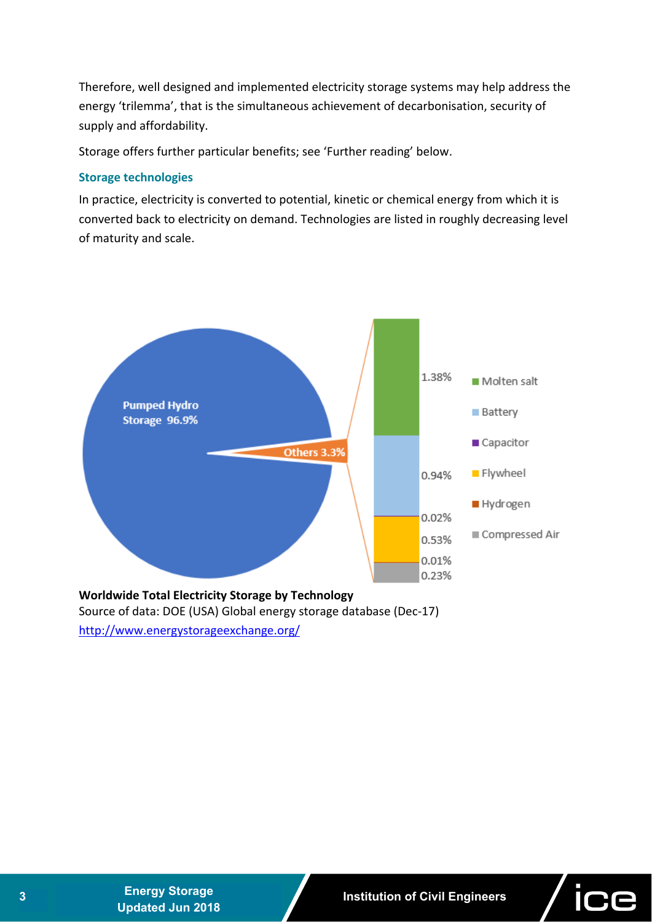Therefore, well designed and implemented electricity storage systems may help address the energy 'trilemma', that is the simultaneous achievement of decarbonisation, security of supply and affordability.

Storage offers further particular benefits; see 'Further reading' below.

## **Storage technologies**

In practice, electricity is converted to potential, kinetic or chemical energy from which it is converted back to electricity on demand. Technologies are listed in roughly decreasing level of maturity and scale.



Source of data: DOE (USA) Global energy storage database (Dec‐17) http://www.energystorageexchange.org/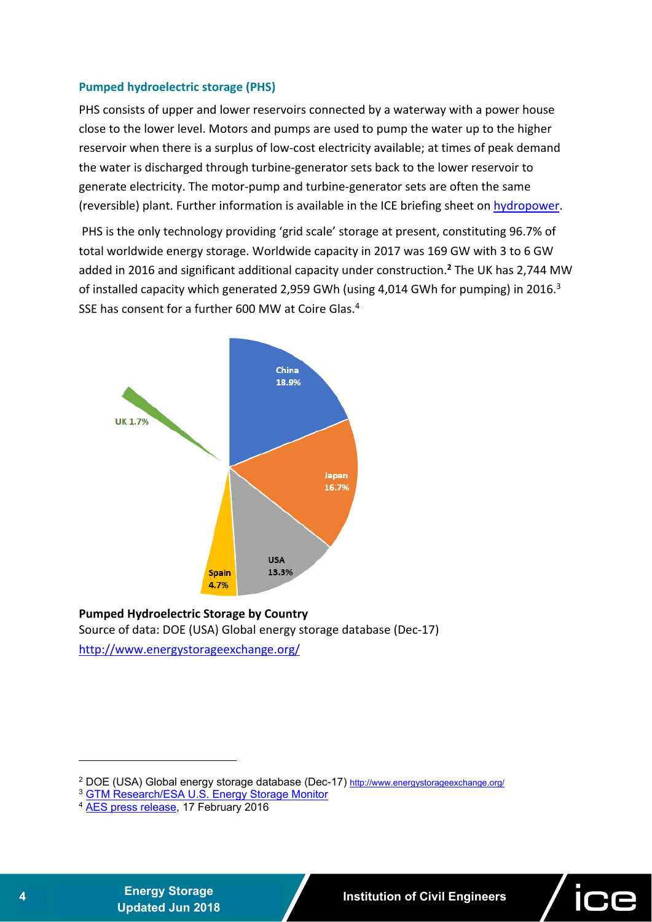## **Pumped hydroelectric storage (PHS)**

PHS consists of upper and lower reservoirs connected by a waterway with a power house close to the lower level. Motors and pumps are used to pump the water up to the higher reservoir when there is a surplus of low-cost electricity available; at times of peak demand the water is discharged through turbine‐generator sets back to the lower reservoir to generate electricity. The motor‐pump and turbine‐generator sets are often the same (reversible) plant. Further information is available in the ICE briefing sheet on hydropower.

 PHS is the only technology providing 'grid scale' storage at present, constituting 96.7% of total worldwide energy storage. Worldwide capacity in 2017 was 169 GW with 3 to 6 GW added in 2016 and significant additional capacity under construction.**<sup>2</sup>** The UK has 2,744 MW of installed capacity which generated 2,959 GWh (using 4,014 GWh for pumping) in 2016.<sup>3</sup> SSE has consent for a further 600 MW at Coire Glas.4



#### **Pumped Hydroelectric Storage by Country**  Source of data: DOE (USA) Global energy storage database (Dec‐17)

http://www.energystorageexchange.org/

**<sup>4</sup>Energy Storage** 

1

<sup>&</sup>lt;sup>2</sup> DOE (USA) Global energy storage database (Dec-17) http://www.energystorageexchange.org/

<sup>3</sup> GTM Research/ESA U.S. Energy Storage Monitor

<sup>&</sup>lt;sup>4</sup> AES press release, 17 February 2016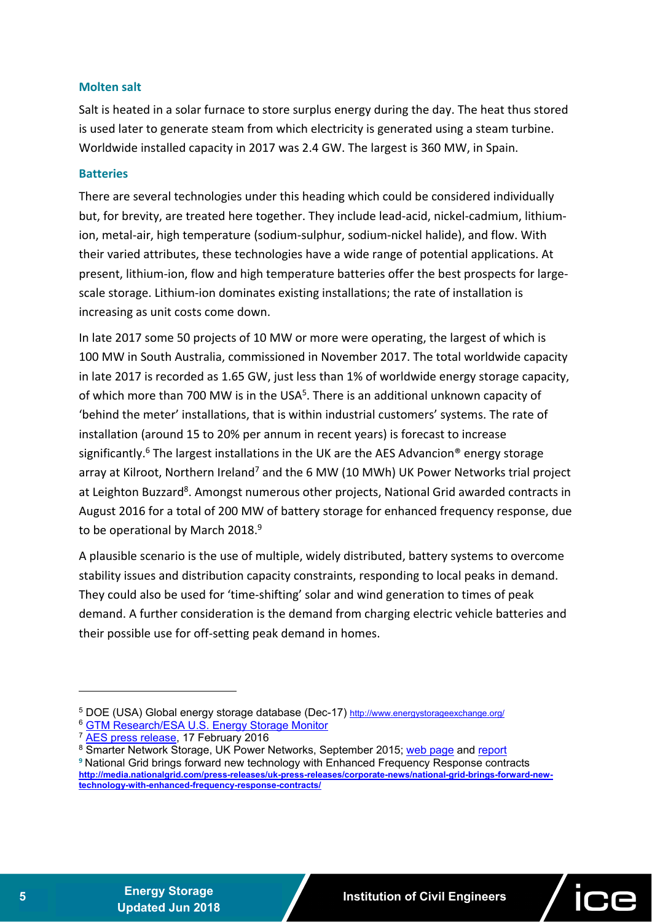#### **Molten salt**

Salt is heated in a solar furnace to store surplus energy during the day. The heat thus stored is used later to generate steam from which electricity is generated using a steam turbine. Worldwide installed capacity in 2017 was 2.4 GW. The largest is 360 MW, in Spain.

# **Batteries**

There are several technologies under this heading which could be considered individually but, for brevity, are treated here together. They include lead‐acid, nickel‐cadmium, lithium‐ ion, metal‐air, high temperature (sodium‐sulphur, sodium‐nickel halide), and flow. With their varied attributes, these technologies have a wide range of potential applications. At present, lithium-ion, flow and high temperature batteries offer the best prospects for largescale storage. Lithium-ion dominates existing installations; the rate of installation is increasing as unit costs come down.

In late 2017 some 50 projects of 10 MW or more were operating, the largest of which is 100 MW in South Australia, commissioned in November 2017. The total worldwide capacity in late 2017 is recorded as 1.65 GW, just less than 1% of worldwide energy storage capacity, of which more than 700 MW is in the USA<sup>5</sup>. There is an additional unknown capacity of 'behind the meter' installations, that is within industrial customers' systems. The rate of installation (around 15 to 20% per annum in recent years) is forecast to increase significantly.<sup>6</sup> The largest installations in the UK are the AES Advancion<sup>®</sup> energy storage array at Kilroot, Northern Ireland<sup>7</sup> and the 6 MW (10 MWh) UK Power Networks trial project at Leighton Buzzard<sup>8</sup>. Amongst numerous other projects, National Grid awarded contracts in August 2016 for a total of 200 MW of battery storage for enhanced frequency response, due to be operational by March 2018.<sup>9</sup>

A plausible scenario is the use of multiple, widely distributed, battery systems to overcome stability issues and distribution capacity constraints, responding to local peaks in demand. They could also be used for 'time‐shifting' solar and wind generation to times of peak demand. A further consideration is the demand from charging electric vehicle batteries and their possible use for off‐setting peak demand in homes.

1

<sup>5</sup> DOE (USA) Global energy storage database (Dec-17) http://www.energystorageexchange.org/

<sup>6</sup> GTM Research/ESA U.S. Energy Storage Monitor

<sup>7</sup> AES press release, 17 February 2016

<sup>&</sup>lt;sup>8</sup> Smarter Network Storage, UK Power Networks, September 2015; web page and report

**<sup>9</sup>** National Grid brings forward new technology with Enhanced Frequency Response contracts **http://media.nationalgrid.com/press-releases/uk-press-releases/corporate-news/national-grid-brings-forward-newtechnology-with-enhanced-frequency-response-contracts/**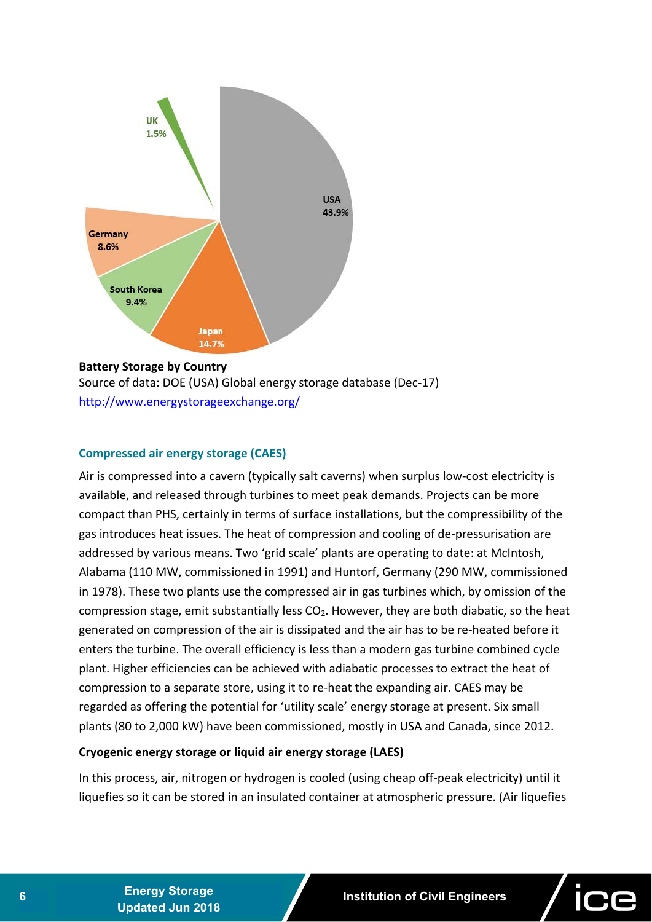

Source of data: DOE (USA) Global energy storage database (Dec‐17) http://www.energystorageexchange.org/

# **Compressed air energy storage (CAES)**

Air is compressed into a cavern (typically salt caverns) when surplus low‐cost electricity is available, and released through turbines to meet peak demands. Projects can be more compact than PHS, certainly in terms of surface installations, but the compressibility of the gas introduces heat issues. The heat of compression and cooling of de‐pressurisation are addressed by various means. Two 'grid scale' plants are operating to date: at McIntosh, Alabama (110 MW, commissioned in 1991) and Huntorf, Germany (290 MW, commissioned in 1978). These two plants use the compressed air in gas turbines which, by omission of the compression stage, emit substantially less  $CO<sub>2</sub>$ . However, they are both diabatic, so the heat generated on compression of the air is dissipated and the air has to be re‐heated before it enters the turbine. The overall efficiency is less than a modern gas turbine combined cycle plant. Higher efficiencies can be achieved with adiabatic processes to extract the heat of compression to a separate store, using it to re‐heat the expanding air. CAES may be regarded as offering the potential for 'utility scale' energy storage at present. Six small plants (80 to 2,000 kW) have been commissioned, mostly in USA and Canada, since 2012.

# **Cryogenic energy storage or liquid air energy storage (LAES)**

In this process, air, nitrogen or hydrogen is cooled (using cheap off‐peak electricity) until it liquefies so it can be stored in an insulated container at atmospheric pressure. (Air liquefies

**<sup>6</sup>Energy Storage**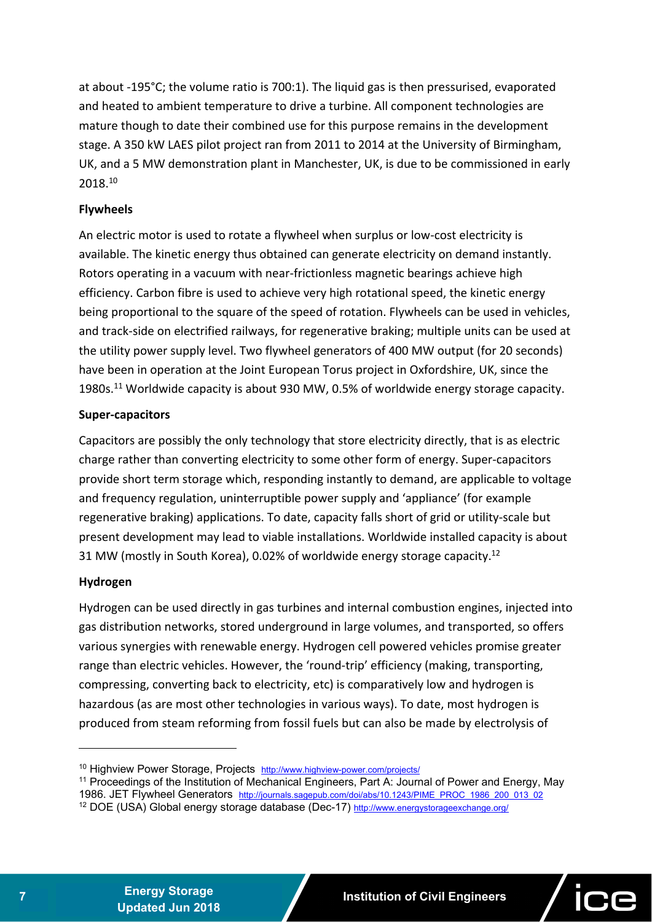at about ‐195°C; the volume ratio is 700:1). The liquid gas is then pressurised, evaporated and heated to ambient temperature to drive a turbine. All component technologies are mature though to date their combined use for this purpose remains in the development stage. A 350 kW LAES pilot project ran from 2011 to 2014 at the University of Birmingham, UK, and a 5 MW demonstration plant in Manchester, UK, is due to be commissioned in early 2018.10

#### **Flywheels**

An electric motor is used to rotate a flywheel when surplus or low‐cost electricity is available. The kinetic energy thus obtained can generate electricity on demand instantly. Rotors operating in a vacuum with near‐frictionless magnetic bearings achieve high efficiency. Carbon fibre is used to achieve very high rotational speed, the kinetic energy being proportional to the square of the speed of rotation. Flywheels can be used in vehicles, and track‐side on electrified railways, for regenerative braking; multiple units can be used at the utility power supply level. Two flywheel generators of 400 MW output (for 20 seconds) have been in operation at the Joint European Torus project in Oxfordshire, UK, since the 1980s.<sup>11</sup> Worldwide capacity is about 930 MW, 0.5% of worldwide energy storage capacity.

#### **Super‐capacitors**

Capacitors are possibly the only technology that store electricity directly, that is as electric charge rather than converting electricity to some other form of energy. Super‐capacitors provide short term storage which, responding instantly to demand, are applicable to voltage and frequency regulation, uninterruptible power supply and 'appliance' (for example regenerative braking) applications. To date, capacity falls short of grid or utility-scale but present development may lead to viable installations. Worldwide installed capacity is about 31 MW (mostly in South Korea), 0.02% of worldwide energy storage capacity.<sup>12</sup>

#### **Hydrogen**

 $\overline{a}$ 

Hydrogen can be used directly in gas turbines and internal combustion engines, injected into gas distribution networks, stored underground in large volumes, and transported, so offers various synergies with renewable energy. Hydrogen cell powered vehicles promise greater range than electric vehicles. However, the 'round-trip' efficiency (making, transporting, compressing, converting back to electricity, etc) is comparatively low and hydrogen is hazardous (as are most other technologies in various ways). To date, most hydrogen is produced from steam reforming from fossil fuels but can also be made by electrolysis of

<sup>&</sup>lt;sup>10</sup> Highview Power Storage, Projects http://www.highview-power.com/projects/

<sup>&</sup>lt;sup>11</sup> Proceedings of the Institution of Mechanical Engineers, Part A: Journal of Power and Energy, May

<sup>1986.</sup> JET Flywheel Generators http://journals.sagepub.com/doi/abs/10.1243/PIME\_PROC\_1986\_200\_013\_02

<sup>&</sup>lt;sup>12</sup> DOE (USA) Global energy storage database (Dec-17) http://www.energystorageexchange.org/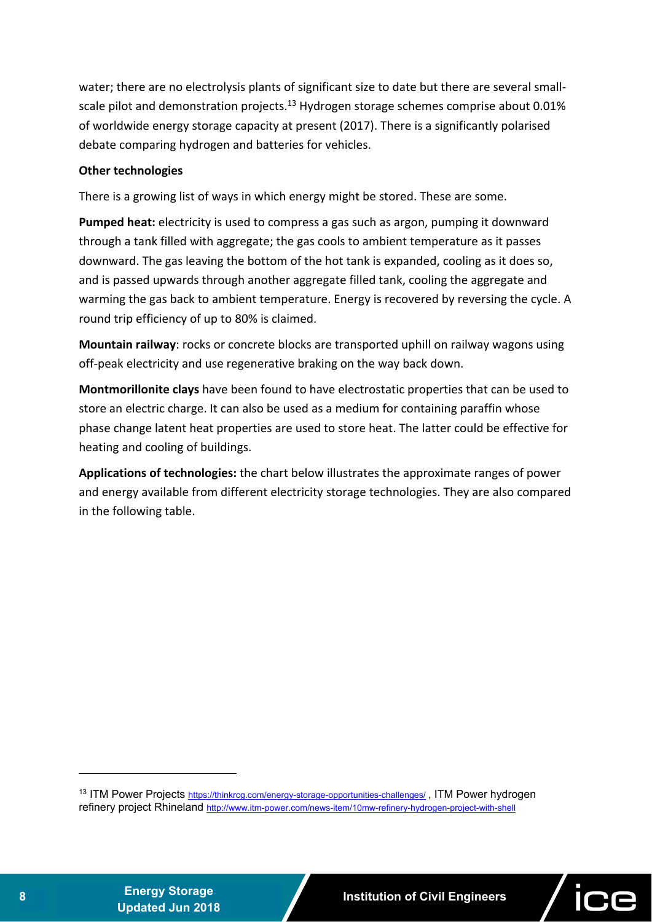water; there are no electrolysis plants of significant size to date but there are several smallscale pilot and demonstration projects.<sup>13</sup> Hydrogen storage schemes comprise about 0.01% of worldwide energy storage capacity at present (2017). There is a significantly polarised debate comparing hydrogen and batteries for vehicles.

# **Other technologies**

There is a growing list of ways in which energy might be stored. These are some.

**Pumped heat:** electricity is used to compress a gas such as argon, pumping it downward through a tank filled with aggregate; the gas cools to ambient temperature as it passes downward. The gas leaving the bottom of the hot tank is expanded, cooling as it does so, and is passed upwards through another aggregate filled tank, cooling the aggregate and warming the gas back to ambient temperature. Energy is recovered by reversing the cycle. A round trip efficiency of up to 80% is claimed.

**Mountain railway**: rocks or concrete blocks are transported uphill on railway wagons using off‐peak electricity and use regenerative braking on the way back down.

**Montmorillonite clays** have been found to have electrostatic properties that can be used to store an electric charge. It can also be used as a medium for containing paraffin whose phase change latent heat properties are used to store heat. The latter could be effective for heating and cooling of buildings.

**Applications of technologies:** the chart below illustrates the approximate ranges of power and energy available from different electricity storage technologies. They are also compared in the following table.

<sup>13</sup> ITM Power Projects https://thinkrcg.com/energy-storage-opportunities-challenges/, ITM Power hydrogen refinery project Rhineland http://www.itm-power.com/news-item/10mw-refinery-hydrogen-project-with-shell

**<sup>8</sup>Energy Storage** 

-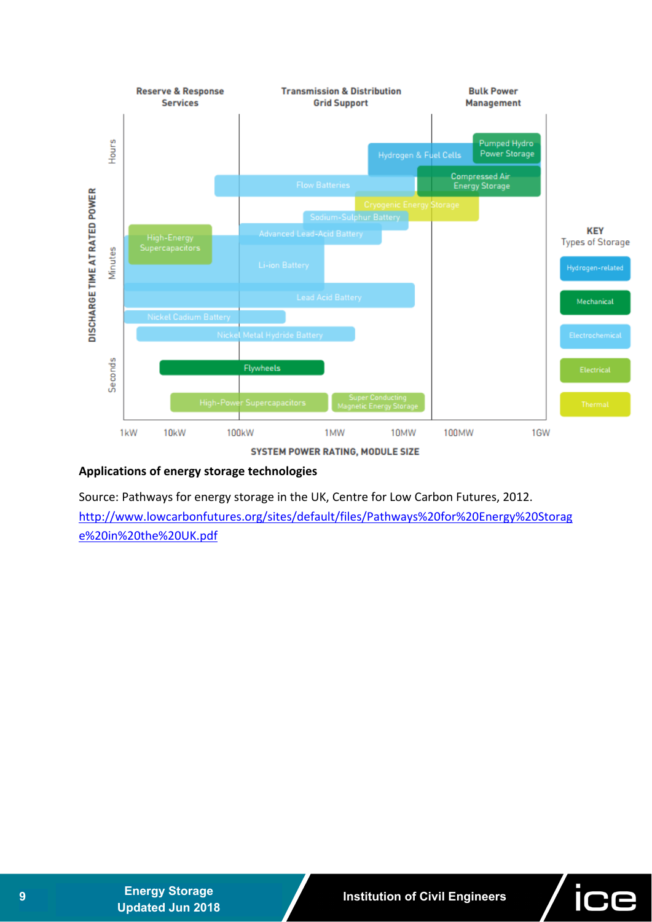

SYSTEM POWER RATING, MODULE SIZE

# **Applications of energy storage technologies**

Source: Pathways for energy storage in the UK, Centre for Low Carbon Futures, 2012. http://www.lowcarbonfutures.org/sites/default/files/Pathways%20for%20Energy%20Storag e%20in%20the%20UK.pdf

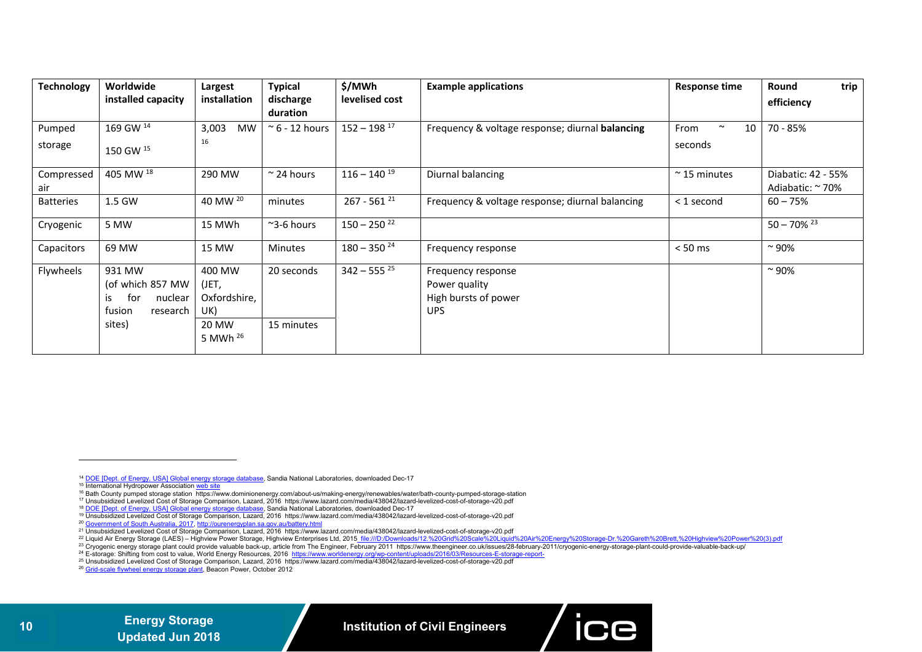| <b>Technology</b> | Worldwide<br>installed capacity                                                    | Largest<br>installation                                          | <b>Typical</b><br>discharge<br>duration | \$/MWh<br>levelised cost  | <b>Example applications</b>                                        | <b>Response time</b>            | trip<br>Round<br>efficiency            |
|-------------------|------------------------------------------------------------------------------------|------------------------------------------------------------------|-----------------------------------------|---------------------------|--------------------------------------------------------------------|---------------------------------|----------------------------------------|
| Pumped<br>storage | 169 GW 14<br>150 GW 15                                                             | 3,003<br><b>MW</b><br>16                                         | $\approx$ 6 - 12 hours                  | $152 - 198$ <sup>17</sup> | Frequency & voltage response; diurnal balancing                    | $\sim$<br>10<br>From<br>seconds | 70 - 85%                               |
| Compressed<br>air | 405 MW <sup>18</sup>                                                               | 290 MW                                                           | $\approx$ 24 hours                      | $116 - 140$ <sup>19</sup> | Diurnal balancing                                                  | $~\sim$ 15 minutes              | Diabatic: 42 - 55%<br>Adiabatic: ~ 70% |
| <b>Batteries</b>  | 1.5 GW                                                                             | 40 MW 20                                                         | minutes                                 | $267 - 561^{21}$          | Frequency & voltage response; diurnal balancing                    | < 1 second                      | $60 - 75%$                             |
| Cryogenic         | 5 MW                                                                               | 15 MWh                                                           | $\approx$ 3-6 hours                     | $150 - 250$ <sup>22</sup> |                                                                    |                                 | $50 - 70\%$ <sup>23</sup>              |
| Capacitors        | 69 MW                                                                              | 15 MW                                                            | <b>Minutes</b>                          | $180 - 350^{24}$          | Frequency response                                                 | $< 50$ ms                       | $~^{\sim}$ 90%                         |
| Flywheels         | 931 MW<br>(of which 857 MW<br>for<br>nuclear<br>is<br>fusion<br>research<br>sites) | 400 MW<br>(JET,<br>Oxfordshire,<br>UK)<br>20 MW<br>5 MWh $^{26}$ | 20 seconds<br>15 minutes                | $342 - 555^{25}$          | Frequency response<br>Power quality<br>High bursts of power<br>UPS |                                 | $~^{\sim}$ 90%                         |

- 17 Unsubsidized Levelized Cost of Storage Comparison, Lazard, 2016 https://www.lazard.com/media/438042/lazard-levelized-cost-of-storage-v20.pdf
- <sup>18</sup> DOE [Dept. of Energy, USA] Global energy storage database, Sandia National Laboratories, downloaded Dec-17
- 19 Unsubsidized Levelized Cost of Storage Comparison, Lazard, 2016 https://www.lazard.com/media/438042/lazard-levelized-cost-of-storage-v20.pdf
- 20 Government of South Australia, 2017, http://ourenergyplan.sa.gov.au/battery.html
- 21 Unsubsidized Levelized Cost of Storage Comparison, Lazard, 2016 https://www.lazard.com/media/438042/lazard-levelized-cost-of-storage-v20.pdf
- <sup>22</sup> Liquid Air Energy Storage (LAES) Highview Power Storage, Highview Enterprises Ltd, 2015 file:///D:/Downloads/12.%20Grid%20Scale%20Liquid%20Air%20Energy%20Storage-Dr.%20Gareth%20Highview%20Power%20(3).pdf
- 23 Cryogenic energy storage plant could provide valuable back-up, article from The Engineer, February 2011 https://www.theengineer.co.uk/issues/28-february-2011/cryogenic-energy-storage-plant-could-provide-valuable-back-up/
- <sup>24</sup> E-storage: Shifting from cost to value, World Energy Resources, 2016 https://www.worldenergy.org/wp-content/uploads/2016/03/Resources-E-storage-report-
- 25 Unsubsidized Levelized Cost of Storage Comparison, Lazard, 2016 https://www.lazard.com/media/438042/lazard-levelized-cost-of-storage-v20.pdf
- <sup>26</sup> Grid-scale flywheel energy storage plant, Beacon Power, October 2012



<sup>14</sup> DOE [Dept. of Energy, USA] Global energy storage database, Sandia National Laboratories, downloaded Dec-17

<sup>15</sup> International Hydropower Association web site

<sup>16</sup> Bath County pumped storage station https://www.dominionenergy.com/about-us/making-energy/renewables/water/bath-county-pumped-storage-station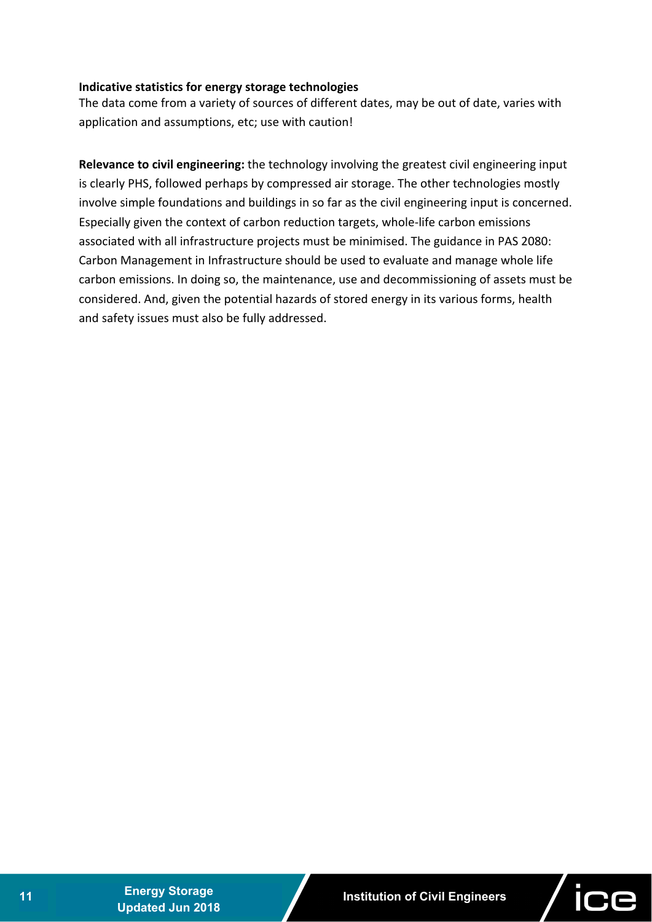# **Indicative statistics for energy storage technologies**

The data come from a variety of sources of different dates, may be out of date, varies with application and assumptions, etc; use with caution!

**Relevance to civil engineering:** the technology involving the greatest civil engineering input is clearly PHS, followed perhaps by compressed air storage. The other technologies mostly involve simple foundations and buildings in so far as the civil engineering input is concerned. Especially given the context of carbon reduction targets, whole‐life carbon emissions associated with all infrastructure projects must be minimised. The guidance in PAS 2080: Carbon Management in Infrastructure should be used to evaluate and manage whole life carbon emissions. In doing so, the maintenance, use and decommissioning of assets must be considered. And, given the potential hazards of stored energy in its various forms, health and safety issues must also be fully addressed.

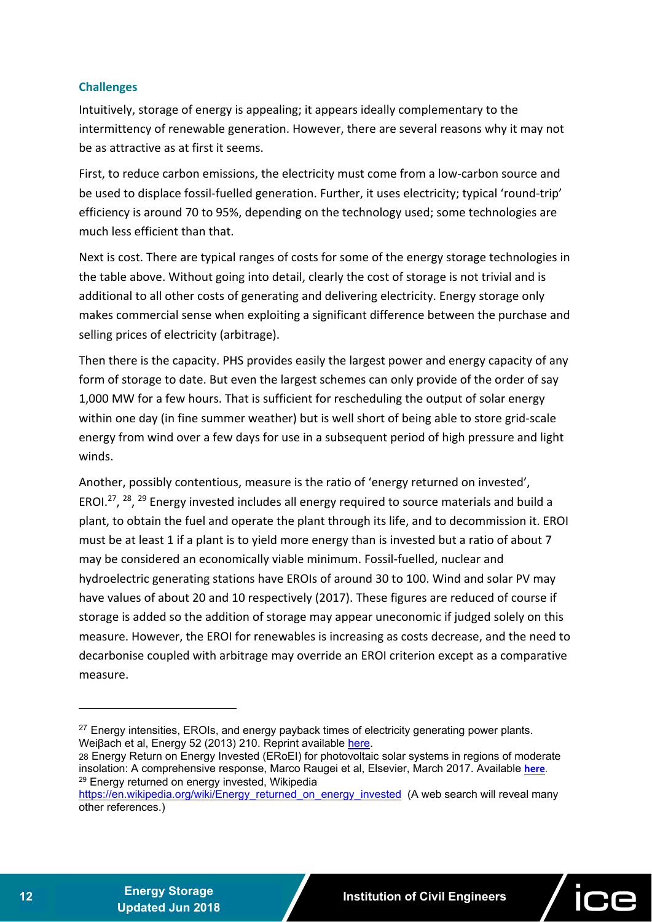# **Challenges**

Intuitively, storage of energy is appealing; it appears ideally complementary to the intermittency of renewable generation. However, there are several reasons why it may not be as attractive as at first it seems.

First, to reduce carbon emissions, the electricity must come from a low-carbon source and be used to displace fossil‐fuelled generation. Further, it uses electricity; typical 'round‐trip' efficiency is around 70 to 95%, depending on the technology used; some technologies are much less efficient than that.

Next is cost. There are typical ranges of costs for some of the energy storage technologies in the table above. Without going into detail, clearly the cost of storage is not trivial and is additional to all other costs of generating and delivering electricity. Energy storage only makes commercial sense when exploiting a significant difference between the purchase and selling prices of electricity (arbitrage).

Then there is the capacity. PHS provides easily the largest power and energy capacity of any form of storage to date. But even the largest schemes can only provide of the order of say 1,000 MW for a few hours. That is sufficient for rescheduling the output of solar energy within one day (in fine summer weather) but is well short of being able to store grid‐scale energy from wind over a few days for use in a subsequent period of high pressure and light winds.

Another, possibly contentious, measure is the ratio of 'energy returned on invested', EROI.27, 28, 29 Energy invested includes all energy required to source materials and build a plant, to obtain the fuel and operate the plant through its life, and to decommission it. EROI must be at least 1 if a plant is to yield more energy than is invested but a ratio of about 7 may be considered an economically viable minimum. Fossil‐fuelled, nuclear and hydroelectric generating stations have EROIs of around 30 to 100. Wind and solar PV may have values of about 20 and 10 respectively (2017). These figures are reduced of course if storage is added so the addition of storage may appear uneconomic if judged solely on this measure. However, the EROI for renewables is increasing as costs decrease, and the need to decarbonise coupled with arbitrage may override an EROI criterion except as a comparative measure.



 $\overline{a}$ 

 $27$  Energy intensities, EROIs, and energy payback times of electricity generating power plants. Weiβach et al, Energy 52 (2013) 210. Reprint available here.

<sup>28</sup> Energy Return on Energy Invested (ERoEI) for photovoltaic solar systems in regions of moderate insolation: A comprehensive response, Marco Raugei et al, Elsevier, March 2017. Available **here**. <sup>29</sup> Energy returned on energy invested, Wikipedia

https://en.wikipedia.org/wiki/Energy\_returned\_on\_energy\_invested (A web search will reveal many other references.)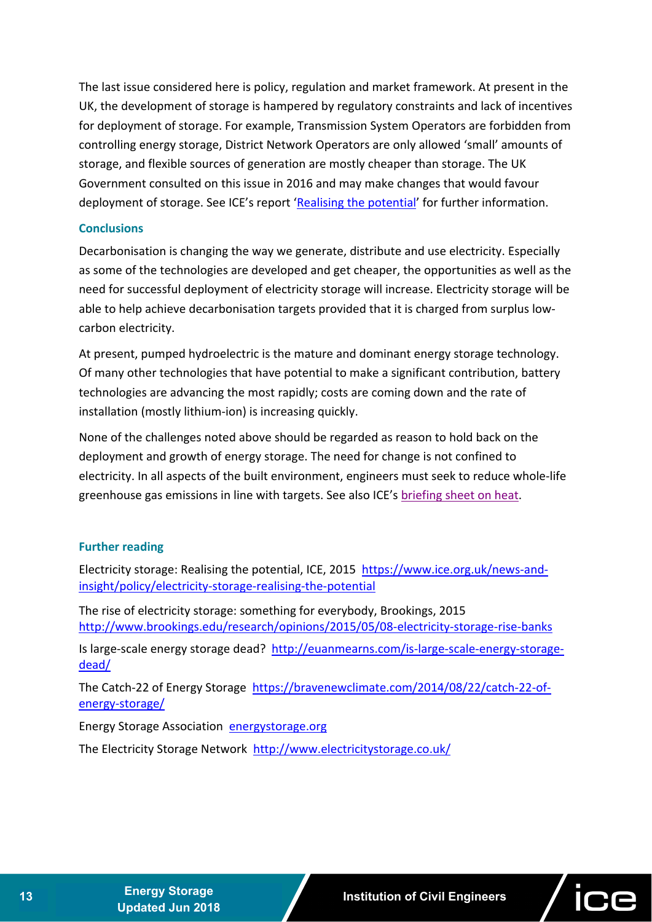The last issue considered here is policy, regulation and market framework. At present in the UK, the development of storage is hampered by regulatory constraints and lack of incentives for deployment of storage. For example, Transmission System Operators are forbidden from controlling energy storage, District Network Operators are only allowed 'small' amounts of storage, and flexible sources of generation are mostly cheaper than storage. The UK Government consulted on this issue in 2016 and may make changes that would favour deployment of storage. See ICE's report 'Realising the potential' for further information.

#### **Conclusions**

Decarbonisation is changing the way we generate, distribute and use electricity. Especially as some of the technologies are developed and get cheaper, the opportunities as well as the need for successful deployment of electricity storage will increase. Electricity storage will be able to help achieve decarbonisation targets provided that it is charged from surplus low‐ carbon electricity.

At present, pumped hydroelectric is the mature and dominant energy storage technology. Of many other technologies that have potential to make a significant contribution, battery technologies are advancing the most rapidly; costs are coming down and the rate of installation (mostly lithium‐ion) is increasing quickly.

None of the challenges noted above should be regarded as reason to hold back on the deployment and growth of energy storage. The need for change is not confined to electricity. In all aspects of the built environment, engineers must seek to reduce whole‐life greenhouse gas emissions in line with targets. See also ICE's briefing sheet on heat.

# **Further reading**

Electricity storage: Realising the potential, ICE, 2015 https://www.ice.org.uk/news-andinsight/policy/electricity‐storage‐realising‐the‐potential

The rise of electricity storage: something for everybody, Brookings, 2015 http://www.brookings.edu/research/opinions/2015/05/08‐electricity‐storage‐rise‐banks

Is large‐scale energy storage dead? http://euanmearns.com/is‐large‐scale‐energy‐storage‐ dead/

The Catch‐22 of Energy Storage https://bravenewclimate.com/2014/08/22/catch‐22‐of‐ energy‐storage/

Energy Storage Association energystorage.org

The Electricity Storage Network http://www.electricitystorage.co.uk/